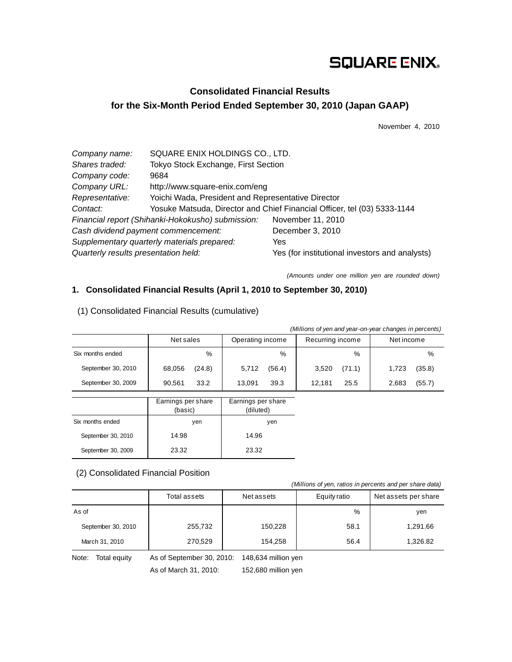# **SQUARE ENIX.**

# **Consolidated Financial Results for the Six-Month Period Ended September 30, 2010 (Japan GAAP)**

November 4, 2010

| Company name:                        | SQUARE ENIX HOLDINGS CO., LTD.                     |                                                                          |
|--------------------------------------|----------------------------------------------------|--------------------------------------------------------------------------|
| Shares traded:                       | Tokyo Stock Exchange, First Section                |                                                                          |
| Company code:                        | 9684                                               |                                                                          |
| Company URL:                         | http://www.square-enix.com/eng                     |                                                                          |
| Representative:                      | Yoichi Wada, President and Representative Director |                                                                          |
| Contact:                             |                                                    | Yosuke Matsuda, Director and Chief Financial Officer, tel (03) 5333-1144 |
|                                      | Financial report (Shihanki-Hokokusho) submission:  | November 11, 2010                                                        |
| Cash dividend payment commencement:  |                                                    | December 3, 2010                                                         |
|                                      | Supplementary quarterly materials prepared:        | Yes                                                                      |
| Quarterly results presentation held: |                                                    | Yes (for institutional investors and analysts)                           |

*(Amounts under one million yen are rounded down)* 

### **1. Consolidated Financial Results (April 1, 2010 to September 30, 2010)**

| (Millions of yen and year-on-year changes in percents) |                               |                                 |                  |                 |  |
|--------------------------------------------------------|-------------------------------|---------------------------------|------------------|-----------------|--|
|                                                        | Net sales                     | Operating income                | Recurring income | Net income      |  |
| Six months ended                                       | $\%$                          | %                               | $\%$             | %               |  |
| September 30, 2010                                     | 68,056<br>(24.8)              | (56.4)<br>5,712                 | 3,520<br>(71.1)  | (35.8)<br>1,723 |  |
| September 30, 2009                                     | 33.2<br>90,561                | 39.3<br>13,091                  | 25.5<br>12,181   | (55.7)<br>2,683 |  |
|                                                        |                               |                                 |                  |                 |  |
|                                                        | Earnings per share<br>(basic) | Earnings per share<br>(diluted) |                  |                 |  |
| Six months ended                                       | yen                           | yen                             |                  |                 |  |

14.96 23.32

# (1) Consolidated Financial Results (cumulative)

14.98 23.32

### (2) Consolidated Financial Position

*(Millions of yen, ratios in percents and per share data)*

|                    | Total assets | Net assets | Equity ratio | Net assets per share |
|--------------------|--------------|------------|--------------|----------------------|
| As of              |              |            | %            | yen                  |
| September 30, 2010 | 255,732      | 150,228    | 58.1         | 1,291.66             |
| March 31, 2010     | 270,529      | 154,258    | 56.4         | 1,326.82             |

Note: Total equity As of September 30, 2010: 148,634 million yen

September 30, 2010 September 30, 2009

As of March 31, 2010: 152,680 million yen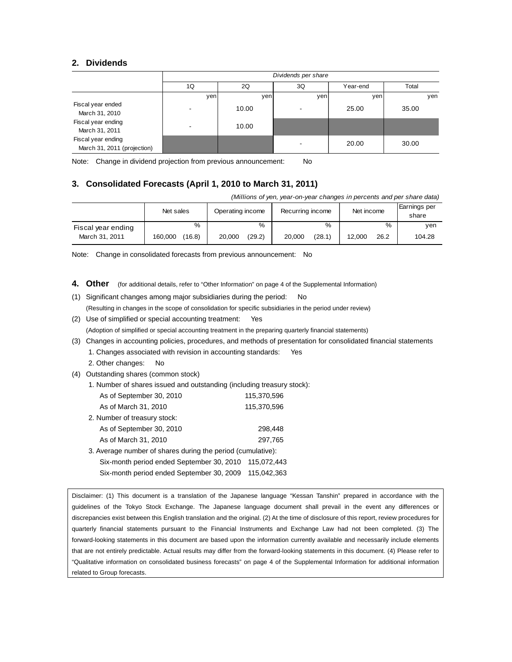### **2. Dividends**

|                                                   | Dividends per share |       |                          |          |       |
|---------------------------------------------------|---------------------|-------|--------------------------|----------|-------|
|                                                   | 1Q                  | 2Q    | 3Q                       | Year-end | Total |
|                                                   | yen                 | yen   | yen                      | yen      | ven   |
| Fiscal year ended<br>March 31, 2010               |                     | 10.00 | $\overline{\phantom{a}}$ | 25.00    | 35.00 |
| Fiscal year ending<br>March 31, 2011              |                     | 10.00 |                          |          |       |
| Fiscal year ending<br>March 31, 2011 (projection) |                     |       | $\overline{\phantom{a}}$ | 20.00    | 30.00 |

Note: Change in dividend projection from previous announcement: No

# **3. Consolidated Forecasts (April 1, 2010 to March 31, 2011)**

*(Millions of yen, year-on-year changes in percents and per share data)*

|                    | Net sales         | Operating income | Recurring income | Net income     | Earnings per<br>share |
|--------------------|-------------------|------------------|------------------|----------------|-----------------------|
| Fiscal year ending | %                 | %                | %                | %              | ven                   |
| March 31, 2011     | (16.8)<br>160.000 | (29.2)<br>20.000 | (28.1)<br>20,000 | 26.2<br>12.000 | 104.28                |

Note: Change in consolidated forecasts from previous announcement: No

- 4. Other (for additional details, refer to "Other Information" on page 4 of the Supplemental Information)
- (1) Significant changes among major subsidiaries during the period: No (Resulting in changes in the scope of consolidation for specific subsidiaries in the period under review) (2) Use of simplified or special accounting treatment: Yes (Adoption of simplified or special accounting treatment in the preparing quarterly financial statements)
- 
- (3) Changes in accounting policies, procedures, and methods of presentation for consolidated financial statements
	- 1. Changes associated with revision in accounting standards: Yes
	- 2. Other changes: No
- (4) Outstanding shares (common stock)
	- 1. Number of shares issued and outstanding (including treasury stock):

| As of September 30, 2010     | 115.370.596 |
|------------------------------|-------------|
| As of March 31, 2010         | 115.370.596 |
| 2. Number of treasury stock: |             |
| As of September 30, 2010     | 298,448     |

- As of March 31, 2010 297,765
- 3. Average number of shares during the period (cumulative): Six-month period ended September 30, 2010 115,072,443
	- Six-month period ended September 30, 2009 115,042,363

Disclaimer: (1) This document is a translation of the Japanese language "Kessan Tanshin" prepared in accordance with the guidelines of the Tokyo Stock Exchange. The Japanese language document shall prevail in the event any differences or discrepancies exist between this English translation and the original. (2) At the time of disclosure of this report, review procedures for quarterly financial statements pursuant to the Financial Instruments and Exchange Law had not been completed. (3) The forward-looking statements in this document are based upon the information currently available and necessarily include elements that are not entirely predictable. Actual results may differ from the forward-looking statements in this document. (4) Please refer to "Qualitative information on consolidated business forecasts" on page 4 of the Supplemental Information for additional information related to Group forecasts.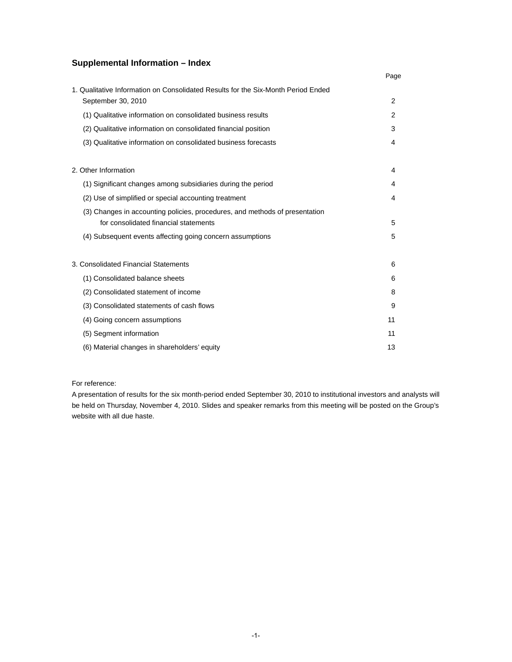# **Supplemental Information – Index**

|                                                                                                                      | Page |
|----------------------------------------------------------------------------------------------------------------------|------|
| 1. Qualitative Information on Consolidated Results for the Six-Month Period Ended<br>September 30, 2010              | 2    |
| (1) Qualitative information on consolidated business results                                                         | 2    |
| (2) Qualitative information on consolidated financial position                                                       | 3    |
| (3) Qualitative information on consolidated business forecasts                                                       | 4    |
| 2. Other Information                                                                                                 | 4    |
| (1) Significant changes among subsidiaries during the period                                                         | 4    |
| (2) Use of simplified or special accounting treatment                                                                | 4    |
| (3) Changes in accounting policies, procedures, and methods of presentation<br>for consolidated financial statements | 5    |
| (4) Subsequent events affecting going concern assumptions                                                            | 5    |
| 3. Consolidated Financial Statements                                                                                 | 6    |
| (1) Consolidated balance sheets                                                                                      | 6    |
| (2) Consolidated statement of income                                                                                 | 8    |
| (3) Consolidated statements of cash flows                                                                            | 9    |
| (4) Going concern assumptions                                                                                        | 11   |
| (5) Segment information                                                                                              | 11   |
| (6) Material changes in shareholders' equity                                                                         | 13   |

### For reference:

A presentation of results for the six month-period ended September 30, 2010 to institutional investors and analysts will be held on Thursday, November 4, 2010. Slides and speaker remarks from this meeting will be posted on the Group's website with all due haste.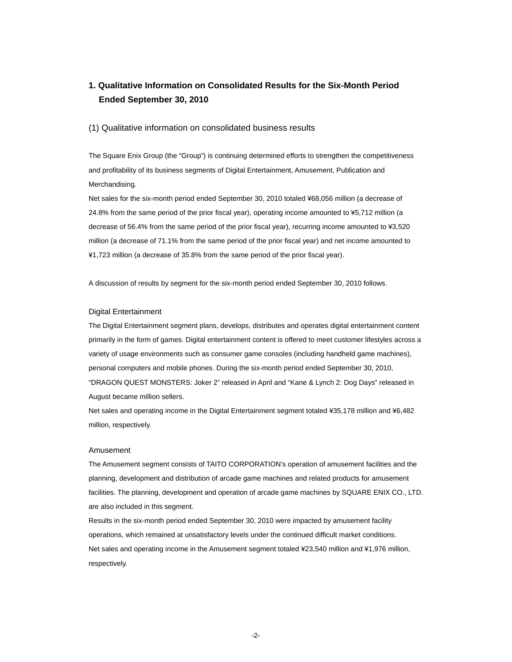# **1. Qualitative Information on Consolidated Results for the Six-Month Period Ended September 30, 2010**

### (1) Qualitative information on consolidated business results

The Square Enix Group (the "Group") is continuing determined efforts to strengthen the competitiveness and profitability of its business segments of Digital Entertainment, Amusement, Publication and Merchandising.

Net sales for the six-month period ended September 30, 2010 totaled ¥68,056 million (a decrease of 24.8% from the same period of the prior fiscal year), operating income amounted to ¥5,712 million (a decrease of 56.4% from the same period of the prior fiscal year), recurring income amounted to ¥3,520 million (a decrease of 71.1% from the same period of the prior fiscal year) and net income amounted to ¥1,723 million (a decrease of 35.8% from the same period of the prior fiscal year).

A discussion of results by segment for the six-month period ended September 30, 2010 follows.

### Digital Entertainment

The Digital Entertainment segment plans, develops, distributes and operates digital entertainment content primarily in the form of games. Digital entertainment content is offered to meet customer lifestyles across a variety of usage environments such as consumer game consoles (including handheld game machines), personal computers and mobile phones. During the six-month period ended September 30, 2010, "DRAGON QUEST MONSTERS: Joker 2" released in April and "Kane & Lynch 2: Dog Days" released in August became million sellers.

Net sales and operating income in the Digital Entertainment segment totaled ¥35,178 million and ¥6,482 million, respectively.

### Amusement

The Amusement segment consists of TAITO CORPORATION's operation of amusement facilities and the planning, development and distribution of arcade game machines and related products for amusement facilities. The planning, development and operation of arcade game machines by SQUARE ENIX CO., LTD. are also included in this segment.

Results in the six-month period ended September 30, 2010 were impacted by amusement facility operations, which remained at unsatisfactory levels under the continued difficult market conditions. Net sales and operating income in the Amusement segment totaled ¥23,540 million and ¥1,976 million, respectively.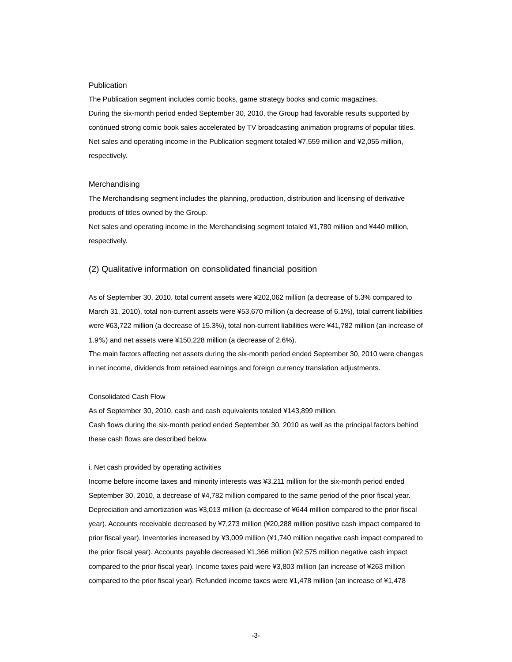#### **Publication**

The Publication segment includes comic books, game strategy books and comic magazines. During the six-month period ended September 30, 2010, the Group had favorable results supported by continued strong comic book sales accelerated by TV broadcasting animation programs of popular titles. Net sales and operating income in the Publication segment totaled ¥7,559 million and ¥2,055 million, respectively.

### Merchandising

The Merchandising segment includes the planning, production, distribution and licensing of derivative products of titles owned by the Group.

Net sales and operating income in the Merchandising segment totaled ¥1,780 million and ¥440 million, respectively.

### (2) Qualitative information on consolidated financial position

As of September 30, 2010, total current assets were ¥202,062 million (a decrease of 5.3% compared to March 31, 2010), total non-current assets were ¥53,670 million (a decrease of 6.1%), total current liabilities were ¥63,722 million (a decrease of 15.3%), total non-current liabilities were ¥41,782 million (an increase of 1.9%) and net assets were ¥150,228 million (a decrease of 2.6%).

The main factors affecting net assets during the six-month period ended September 30, 2010 were changes in net income, dividends from retained earnings and foreign currency translation adjustments.

#### Consolidated Cash Flow

As of September 30, 2010, cash and cash equivalents totaled ¥143,899 million.

Cash flows during the six-month period ended September 30, 2010 as well as the principal factors behind these cash flows are described below.

#### i. Net cash provided by operating activities

Income before income taxes and minority interests was ¥3,211 million for the six-month period ended September 30, 2010, a decrease of ¥4,782 million compared to the same period of the prior fiscal year. Depreciation and amortization was ¥3,013 million (a decrease of ¥644 million compared to the prior fiscal year). Accounts receivable decreased by ¥7,273 million (¥20,288 million positive cash impact compared to prior fiscal year). Inventories increased by ¥3,009 million (¥1,740 million negative cash impact compared to the prior fiscal year). Accounts payable decreased ¥1,366 million (¥2,575 million negative cash impact compared to the prior fiscal year). Income taxes paid were ¥3,803 million (an increase of ¥263 million compared to the prior fiscal year). Refunded income taxes were ¥1,478 million (an increase of ¥1,478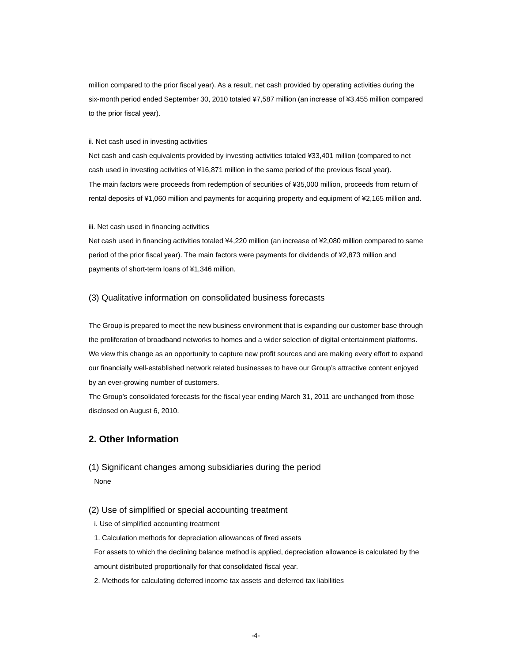million compared to the prior fiscal year). As a result, net cash provided by operating activities during the six-month period ended September 30, 2010 totaled ¥7,587 million (an increase of ¥3,455 million compared to the prior fiscal year).

### ii. Net cash used in investing activities

Net cash and cash equivalents provided by investing activities totaled ¥33,401 million (compared to net cash used in investing activities of ¥16,871 million in the same period of the previous fiscal year). The main factors were proceeds from redemption of securities of ¥35,000 million, proceeds from return of rental deposits of ¥1,060 million and payments for acquiring property and equipment of ¥2,165 million and.

#### iii. Net cash used in financing activities

Net cash used in financing activities totaled ¥4,220 million (an increase of ¥2,080 million compared to same period of the prior fiscal year). The main factors were payments for dividends of ¥2,873 million and payments of short-term loans of ¥1,346 million.

### (3) Qualitative information on consolidated business forecasts

The Group is prepared to meet the new business environment that is expanding our customer base through the proliferation of broadband networks to homes and a wider selection of digital entertainment platforms. We view this change as an opportunity to capture new profit sources and are making every effort to expand our financially well-established network related businesses to have our Group's attractive content enjoyed by an ever-growing number of customers.

The Group's consolidated forecasts for the fiscal year ending March 31, 2011 are unchanged from those disclosed on August 6, 2010.

# **2. Other Information**

(1) Significant changes among subsidiaries during the period None

### (2) Use of simplified or special accounting treatment

i. Use of simplified accounting treatment

1. Calculation methods for depreciation allowances of fixed assets

For assets to which the declining balance method is applied, depreciation allowance is calculated by the

amount distributed proportionally for that consolidated fiscal year.

2. Methods for calculating deferred income tax assets and deferred tax liabilities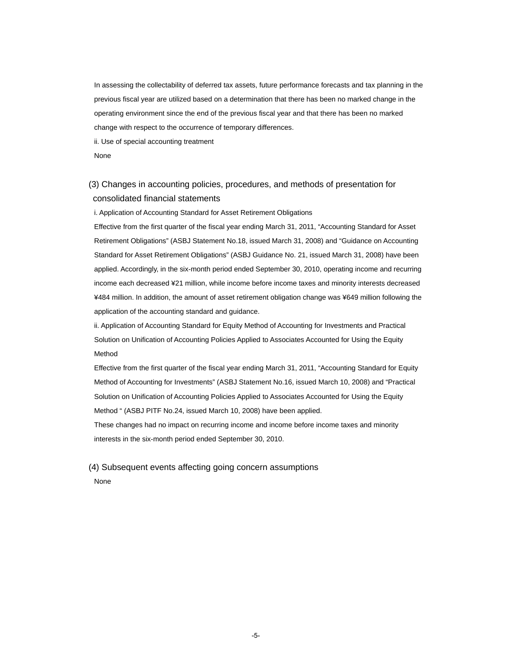In assessing the collectability of deferred tax assets, future performance forecasts and tax planning in the previous fiscal year are utilized based on a determination that there has been no marked change in the operating environment since the end of the previous fiscal year and that there has been no marked change with respect to the occurrence of temporary differences.

ii. Use of special accounting treatment

None

# (3) Changes in accounting policies, procedures, and methods of presentation for consolidated financial statements

i. Application of Accounting Standard for Asset Retirement Obligations

Effective from the first quarter of the fiscal year ending March 31, 2011, "Accounting Standard for Asset Retirement Obligations" (ASBJ Statement No.18, issued March 31, 2008) and "Guidance on Accounting Standard for Asset Retirement Obligations" (ASBJ Guidance No. 21, issued March 31, 2008) have been applied. Accordingly, in the six-month period ended September 30, 2010, operating income and recurring income each decreased ¥21 million, while income before income taxes and minority interests decreased ¥484 million. In addition, the amount of asset retirement obligation change was ¥649 million following the application of the accounting standard and guidance.

ii. Application of Accounting Standard for Equity Method of Accounting for Investments and Practical Solution on Unification of Accounting Policies Applied to Associates Accounted for Using the Equity Method

Effective from the first quarter of the fiscal year ending March 31, 2011, "Accounting Standard for Equity Method of Accounting for Investments" (ASBJ Statement No.16, issued March 10, 2008) and "Practical Solution on Unification of Accounting Policies Applied to Associates Accounted for Using the Equity Method " (ASBJ PITF No.24, issued March 10, 2008) have been applied.

These changes had no impact on recurring income and income before income taxes and minority interests in the six-month period ended September 30, 2010.

# (4) Subsequent events affecting going concern assumptions None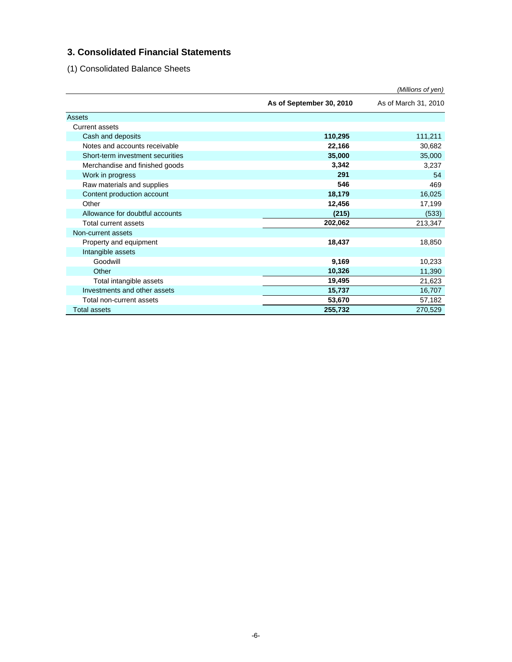# **3. Consolidated Financial Statements**

(1) Consolidated Balance Sheets

|                                  |                          | (Millions of yen)    |
|----------------------------------|--------------------------|----------------------|
|                                  | As of September 30, 2010 | As of March 31, 2010 |
| Assets                           |                          |                      |
| Current assets                   |                          |                      |
| Cash and deposits                | 110,295                  | 111,211              |
| Notes and accounts receivable    | 22,166                   | 30,682               |
| Short-term investment securities | 35,000                   | 35,000               |
| Merchandise and finished goods   | 3,342                    | 3,237                |
| Work in progress                 | 291                      | 54                   |
| Raw materials and supplies       | 546                      | 469                  |
| Content production account       | 18,179                   | 16,025               |
| Other                            | 12,456                   | 17,199               |
| Allowance for doubtful accounts  | (215)                    | (533)                |
| Total current assets             | 202,062                  | 213,347              |
| Non-current assets               |                          |                      |
| Property and equipment           | 18,437                   | 18,850               |
| Intangible assets                |                          |                      |
| Goodwill                         | 9,169                    | 10,233               |
| Other                            | 10,326                   | 11,390               |
| Total intangible assets          | 19,495                   | 21,623               |
| Investments and other assets     | 15,737                   | 16,707               |
| Total non-current assets         | 53,670                   | 57,182               |
| <b>Total assets</b>              | 255,732                  | 270,529              |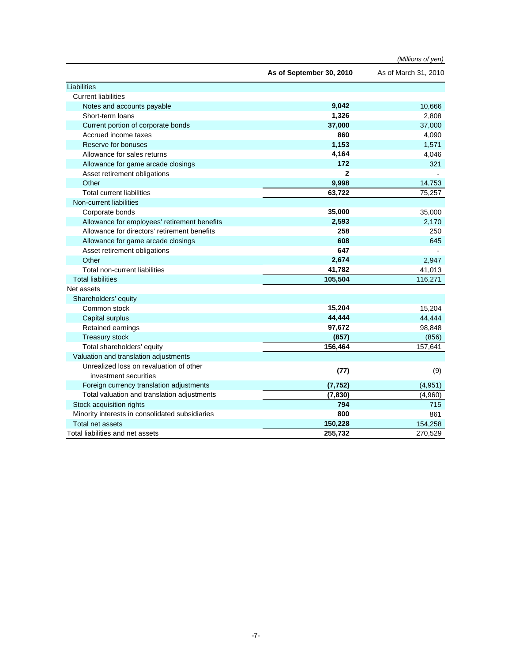|                                                 |                          | (Millions of yen)    |
|-------------------------------------------------|--------------------------|----------------------|
|                                                 | As of September 30, 2010 | As of March 31, 2010 |
| Liabilities                                     |                          |                      |
| <b>Current liabilities</b>                      |                          |                      |
| Notes and accounts payable                      | 9,042                    | 10,666               |
| Short-term loans                                | 1,326                    | 2,808                |
| Current portion of corporate bonds              | 37,000                   | 37,000               |
| Accrued income taxes                            | 860                      | 4,090                |
| Reserve for bonuses                             | 1,153                    | 1,571                |
| Allowance for sales returns                     | 4,164                    | 4,046                |
| Allowance for game arcade closings              | 172                      | 321                  |
| Asset retirement obligations                    | $\mathbf{2}$             |                      |
| Other                                           | 9,998                    | 14,753               |
| <b>Total current liabilities</b>                | 63,722                   | 75,257               |
| Non-current liabilities                         |                          |                      |
| Corporate bonds                                 | 35,000                   | 35,000               |
| Allowance for employees' retirement benefits    | 2,593                    | 2,170                |
| Allowance for directors' retirement benefits    | 258                      | 250                  |
| Allowance for game arcade closings              | 608                      | 645                  |
| Asset retirement obligations                    | 647                      |                      |
| Other                                           | 2,674                    | 2,947                |
| <b>Total non-current liabilities</b>            | 41,782                   | 41,013               |
| <b>Total liabilities</b>                        | 105,504                  | 116,271              |
| Net assets                                      |                          |                      |
| Shareholders' equity                            |                          |                      |
| Common stock                                    | 15,204                   | 15,204               |
| Capital surplus                                 | 44,444                   | 44,444               |
| Retained earnings                               | 97,672                   | 98,848               |
| <b>Treasury stock</b>                           | (857)                    | (856)                |
| Total shareholders' equity                      | 156,464                  | 157,641              |
| Valuation and translation adjustments           |                          |                      |
| Unrealized loss on revaluation of other         | (77)                     | (9)                  |
| investment securities                           |                          |                      |
| Foreign currency translation adjustments        | (7, 752)                 | (4,951)              |
| Total valuation and translation adjustments     | (7, 830)                 | (4,960)              |
| Stock acquisition rights                        | 794                      | 715                  |
| Minority interests in consolidated subsidiaries | 800                      | 861                  |
| Total net assets                                | 150,228                  | 154,258              |
| Total liabilities and net assets                | 255,732                  | 270,529              |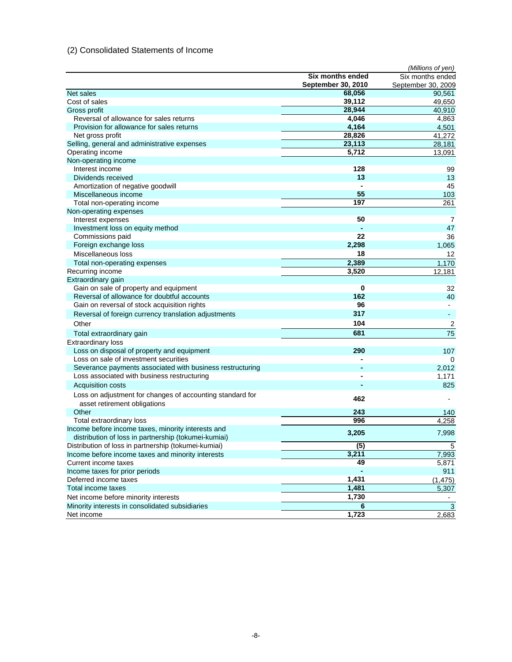# (2) Consolidated Statements of Income

|                                                                                           |                    | (Millions of yen)  |
|-------------------------------------------------------------------------------------------|--------------------|--------------------|
|                                                                                           | Six months ended   | Six months ended   |
|                                                                                           | September 30, 2010 | September 30, 2009 |
| Net sales                                                                                 | 68,056             | 90,561             |
| Cost of sales                                                                             | 39,112             | 49,650             |
| Gross profit                                                                              | 28,944             | 40,910             |
| Reversal of allowance for sales returns                                                   | 4,046              | 4,863              |
| Provision for allowance for sales returns                                                 | 4,164              | 4,501              |
| Net gross profit                                                                          | 28,826             | 41,272             |
| Selling, general and administrative expenses                                              | 23,113             | 28,181             |
| Operating income                                                                          | 5,712              | 13,091             |
| Non-operating income                                                                      |                    |                    |
| Interest income                                                                           | 128                | 99                 |
| Dividends received                                                                        | 13                 | 13                 |
| Amortization of negative goodwill                                                         |                    | 45                 |
| Miscellaneous income                                                                      | 55                 | 103                |
| Total non-operating income                                                                | 197                | 261                |
| Non-operating expenses                                                                    |                    |                    |
| Interest expenses                                                                         | 50                 | $\overline{7}$     |
| Investment loss on equity method                                                          |                    | 47                 |
| Commissions paid                                                                          | 22                 | 36                 |
| Foreign exchange loss                                                                     | 2,298              | 1,065              |
| Miscellaneous loss                                                                        | 18                 | 12                 |
| Total non-operating expenses                                                              | 2,389              | 1,170              |
| Recurring income                                                                          | 3,520              | 12,181             |
| Extraordinary gain                                                                        |                    |                    |
| Gain on sale of property and equipment                                                    | 0                  | 32                 |
| Reversal of allowance for doubtful accounts                                               | 162                | 40                 |
| Gain on reversal of stock acquisition rights                                              | 96                 | $\blacksquare$     |
| Reversal of foreign currency translation adjustments                                      | 317                | $\blacksquare$     |
| Other                                                                                     | 104                | 2                  |
| Total extraordinary gain                                                                  | 681                | 75                 |
| <b>Extraordinary loss</b>                                                                 |                    |                    |
| Loss on disposal of property and equipment                                                | 290                | 107                |
| Loss on sale of investment securities                                                     |                    | 0                  |
| Severance payments associated with business restructuring                                 |                    | 2,012              |
| Loss associated with business restructuring                                               |                    | 1,171              |
| Acquisition costs                                                                         |                    | 825                |
|                                                                                           |                    |                    |
| Loss on adjustment for changes of accounting standard for<br>asset retirement obligations | 462                |                    |
| Other                                                                                     | 243                | 140                |
| Total extraordinary loss                                                                  | 996                | 4,258              |
| Income before income taxes, minority interests and                                        |                    |                    |
| distribution of loss in partnership (tokumei-kumiai)                                      | 3,205              | 7,998              |
| Distribution of loss in partnership (tokumei-kumiai)                                      | $\overline{(5)}$   | 5                  |
| Income before income taxes and minority interests                                         | 3,211              | 7,993              |
| Current income taxes                                                                      | 49                 | 5,871              |
| Income taxes for prior periods                                                            |                    | 911                |
| Deferred income taxes                                                                     | 1,431              | (1, 475)           |
| Total income taxes                                                                        | $\overline{1,}481$ | 5,307              |
| Net income before minority interests                                                      | 1,730              |                    |
| Minority interests in consolidated subsidiaries                                           | 6                  | 3                  |
| Net income                                                                                | 1,723              | 2,683              |
|                                                                                           |                    |                    |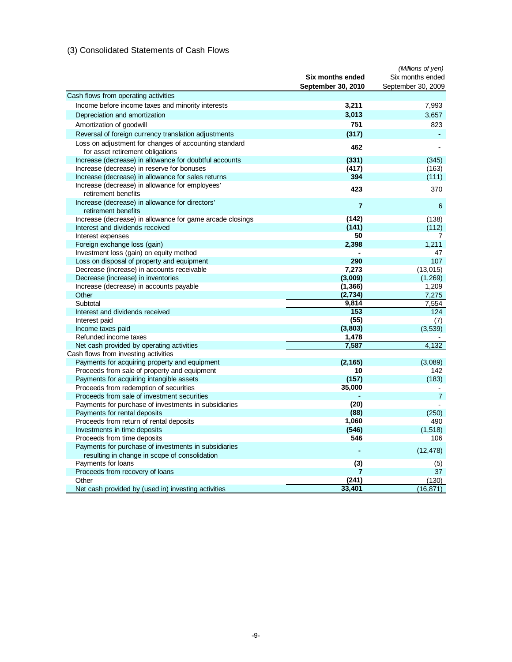# (3) Consolidated Statements of Cash Flows

|                                                                                           |                         | (Millions of yen)  |
|-------------------------------------------------------------------------------------------|-------------------------|--------------------|
|                                                                                           | <b>Six months ended</b> | Six months ended   |
|                                                                                           | September 30, 2010      | September 30, 2009 |
| Cash flows from operating activities                                                      |                         |                    |
| Income before income taxes and minority interests                                         | 3,211                   | 7,993              |
| Depreciation and amortization                                                             | 3,013                   | 3,657              |
| Amortization of goodwill                                                                  | 751                     | 823                |
| Reversal of foreign currency translation adjustments                                      | (317)                   |                    |
|                                                                                           |                         |                    |
| Loss on adjustment for changes of accounting standard<br>for asset retirement obligations | 462                     |                    |
| Increase (decrease) in allowance for doubtful accounts                                    | (331)                   | (345)              |
| Increase (decrease) in reserve for bonuses                                                | (417)                   | (163)              |
| Increase (decrease) in allowance for sales returns                                        | 394                     | (111)              |
| Increase (decrease) in allowance for employees'<br>retirement benefits                    | 423                     | 370                |
| Increase (decrease) in allowance for directors'                                           |                         |                    |
| retirement benefits                                                                       | $\overline{7}$          | 6                  |
| Increase (decrease) in allowance for game arcade closings                                 | (142)                   | (138)              |
| Interest and dividends received                                                           | (141)                   | (112)              |
| Interest expenses                                                                         | 50                      | 7                  |
| Foreign exchange loss (gain)                                                              | 2,398                   | 1,211              |
| Investment loss (gain) on equity method                                                   |                         | 47                 |
| Loss on disposal of property and equipment                                                | 290                     | 107                |
| Decrease (increase) in accounts receivable                                                | 7,273                   | (13,015)           |
| Decrease (increase) in inventories                                                        | (3,009)                 | (1,269)            |
| Increase (decrease) in accounts payable                                                   | (1, 366)                | 1,209              |
| Other                                                                                     | (2,734)                 | 7,275              |
| Subtotal                                                                                  | 9,814                   | 7,554              |
| Interest and dividends received                                                           | 153                     | 124                |
| Interest paid                                                                             | (55)                    | (7)                |
| Income taxes paid                                                                         | (3,803)                 | (3,539)            |
| Refunded income taxes                                                                     | 1,478                   |                    |
| Net cash provided by operating activities                                                 | 7,587                   | 4,132              |
| Cash flows from investing activities                                                      |                         |                    |
| Payments for acquiring property and equipment                                             | (2, 165)                | (3,089)            |
| Proceeds from sale of property and equipment                                              | 10                      | 142                |
| Payments for acquiring intangible assets                                                  | (157)                   | (183)              |
| Proceeds from redemption of securities                                                    | 35,000                  |                    |
| Proceeds from sale of investment securities                                               |                         | $\overline{7}$     |
| Payments for purchase of investments in subsidiaries                                      | (20)                    |                    |
| Payments for rental deposits                                                              | (88)                    | (250)              |
| Proceeds from return of rental deposits                                                   | 1,060                   | 490                |
| Investments in time deposits                                                              | (546)                   | (1,518)            |
| Proceeds from time deposits                                                               | 546                     | 106                |
| Payments for purchase of investments in subsidiaries                                      |                         | (12, 478)          |
| resulting in change in scope of consolidation                                             |                         |                    |
| Payments for loans                                                                        | (3)                     | (5)                |
| Proceeds from recovery of loans                                                           |                         | 37                 |
| Other                                                                                     | (241)                   | (130)              |
| Net cash provided by (used in) investing activities                                       | 33,401                  | (16, 871)          |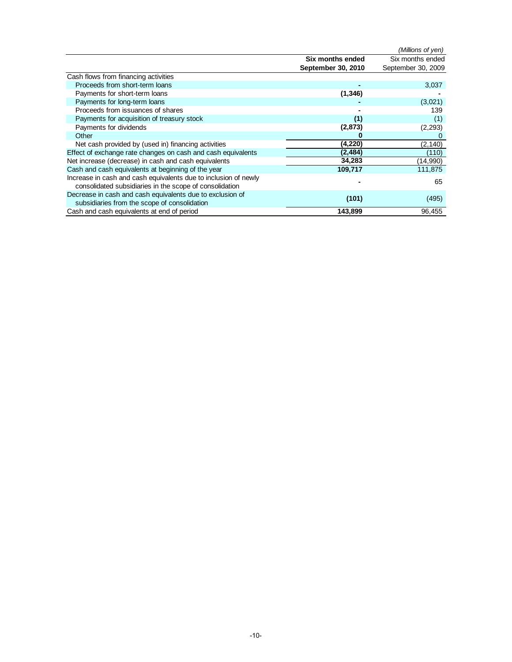|                                                                 |                    | (Millions of yen)  |
|-----------------------------------------------------------------|--------------------|--------------------|
|                                                                 | Six months ended   | Six months ended   |
|                                                                 | September 30, 2010 | September 30, 2009 |
| Cash flows from financing activities                            |                    |                    |
| Proceeds from short-term loans                                  |                    | 3,037              |
| Payments for short-term loans                                   | (1, 346)           |                    |
| Payments for long-term loans                                    |                    | (3,021)            |
| Proceeds from issuances of shares                               |                    | 139                |
| Payments for acquisition of treasury stock                      | (1)                | (1)                |
| Payments for dividends                                          | (2, 873)           | (2, 293)           |
| Other                                                           |                    |                    |
| Net cash provided by (used in) financing activities             | (4,220)            | (2, 140)           |
| Effect of exchange rate changes on cash and cash equivalents    | (2,484)            | (110)              |
| Net increase (decrease) in cash and cash equivalents            | 34,283             | (14,990)           |
| Cash and cash equivalents at beginning of the year              | 109,717            | 111,875            |
| Increase in cash and cash equivalents due to inclusion of newly |                    | 65                 |
| consolidated subsidiaries in the scope of consolidation         |                    |                    |
| Decrease in cash and cash equivalents due to exclusion of       | (101)              | (495)              |
| subsidiaries from the scope of consolidation                    |                    |                    |
| Cash and cash equivalents at end of period                      | 143,899            | 96,455             |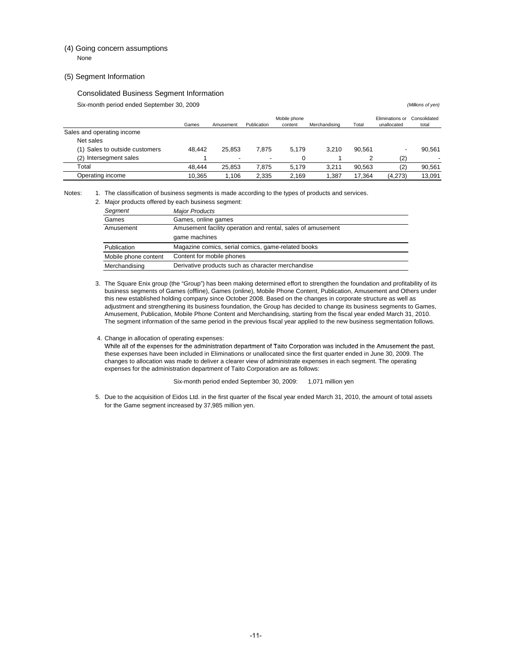### (4) Going concern assumptions None

#### (5) Segment Information

#### Consolidated Business Segment Information

Six-month period ended September 30, 2009 *(Millions of yen)*

|                                | Games  | Amusement | Publication | Mobile phone<br>content | Merchandising | Total  | Eliminations or<br>unallocated | Consolidated<br>total |
|--------------------------------|--------|-----------|-------------|-------------------------|---------------|--------|--------------------------------|-----------------------|
| Sales and operating income     |        |           |             |                         |               |        |                                |                       |
| Net sales                      |        |           |             |                         |               |        |                                |                       |
| (1) Sales to outside customers | 48.442 | 25.853    | 7.875       | 5.179                   | 3.210         | 90.561 | $\overline{\phantom{a}}$       | 90.561                |
| (2) Intersegment sales         |        |           |             |                         |               |        | (2)                            |                       |
| Total                          | 48.444 | 25.853    | 7.875       | 5.179                   | 3.211         | 90.563 | (2)                            | 90.561                |
| Operating income               | 10.365 | .106      | 2.335       | 2.169                   | .387          | 17.364 | (4.273)                        | 13.091                |

Notes: 1. The classification of business segments is made according to the types of products and services.

|                                                                    | 2. Major products offered by each business segment:         |  |  |
|--------------------------------------------------------------------|-------------------------------------------------------------|--|--|
| Segment                                                            | <b>Major Products</b>                                       |  |  |
| Games                                                              | Games, online games                                         |  |  |
| Amusement                                                          | Amusement facility operation and rental, sales of amusement |  |  |
|                                                                    | game machines                                               |  |  |
| Publication                                                        | Magazine comics, serial comics, game-related books          |  |  |
| Mobile phone content                                               | Content for mobile phones                                   |  |  |
| Derivative products such as character merchandise<br>Merchandising |                                                             |  |  |

3. The Square Enix group (the "Group") has been making determined effort to strengthen the foundation and profitability of its business segments of Games (offline), Games (online), Mobile Phone Content, Publication, Amusement and Others under this new established holding company since October 2008. Based on the changes in corporate structure as well as adjustment and strengthening its business foundation, the Group has decided to change its business segments to Games, Amusement, Publication, Mobile Phone Content and Merchandising, starting from the fiscal year ended March 31, 2010. The segment information of the same period in the previous fiscal year applied to the new business segmentation follows.

#### 4. Change in allocation of operating expenses:

While all of the expenses for the administration department of Taito Corporation was included in the Amusement the past, these expenses have been included in Eliminations or unallocated since the first quarter ended in June 30, 2009. The changes to allocation was made to deliver a clearer view of administrate expenses in each segment. The operating expenses for the administration department of Taito Corporation are as follows:

#### Six-month period ended September 30, 2009: 1,071 million yen

5. Due to the acquisition of Eidos Ltd. in the first quarter of the fiscal year ended March 31, 2010, the amount of total assets for the Game segment increased by 37,985 million yen.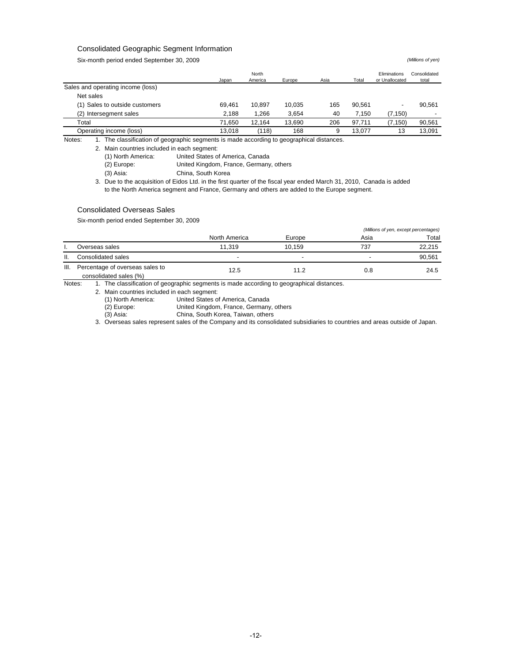### Consolidated Geographic Segment Information

Six-month period ended September 30, 2009 *(Millions of yen)*

|                                   | Japan  | North<br>America | Europe | Asia | Total  | Eliminations<br>or Unallocated | Consolidated<br>total |
|-----------------------------------|--------|------------------|--------|------|--------|--------------------------------|-----------------------|
| Sales and operating income (loss) |        |                  |        |      |        |                                |                       |
| Net sales                         |        |                  |        |      |        |                                |                       |
| (1) Sales to outside customers    | 69.461 | 10.897           | 10.035 | 165  | 90.561 |                                | 90.561                |
| (2) Intersegment sales            | 2,188  | 1.266            | 3.654  | 40   | 7.150  | (7, 150)                       |                       |
| Total                             | 71.650 | 12.164           | 13.690 | 206  | 97.711 | (7, 150)                       | 90,561                |
| Operating income (loss)           | 13.018 | (118)            | 168    | 9    | 13.077 | 13                             | 13.091                |

Notes: 1. The classification of geographic segments is made according to geographical distances.

2. Main countries included in each segment:

(1) North America: United States of America, Canada

(2) Europe: United Kingdom, France, Germany, others

(3) Asia: China, South Korea

3. Due to the acquisition of Eidos Ltd. in the first quarter of the fiscal year ended March 31, 2010, Canada is added to the North America segment and France, Germany and others are added to the Europe segment.

#### Consolidated Overseas Sales

Six-month period ended September 30, 2009

|      |                                                           |                |                          | (Millions of yen, except percentages) |        |  |
|------|-----------------------------------------------------------|----------------|--------------------------|---------------------------------------|--------|--|
|      |                                                           | North America  | Europe                   | Asia                                  | Total  |  |
|      | Overseas sales                                            | 11.319         | 10.159                   | 737                                   | 22.215 |  |
| Ⅱ.   | Consolidated sales                                        | $\blacksquare$ | $\overline{\phantom{0}}$ |                                       | 90.561 |  |
| III. | Percentage of overseas sales to<br>consolidated sales (%) | 12.5           | 11.2                     | 0.8                                   | 24.5   |  |

Notes: 1. The classification of geographic segments is made according to geographical distances.

2. Main countries included in each segment:

(1) North America: United States of America, Canada

United Kingdom, France, Germany, others

(3) Asia: China, South Korea, Taiwan, others

3. Overseas sales represent sales of the Company and its consolidated subsidiaries to countries and areas outside of Japan.